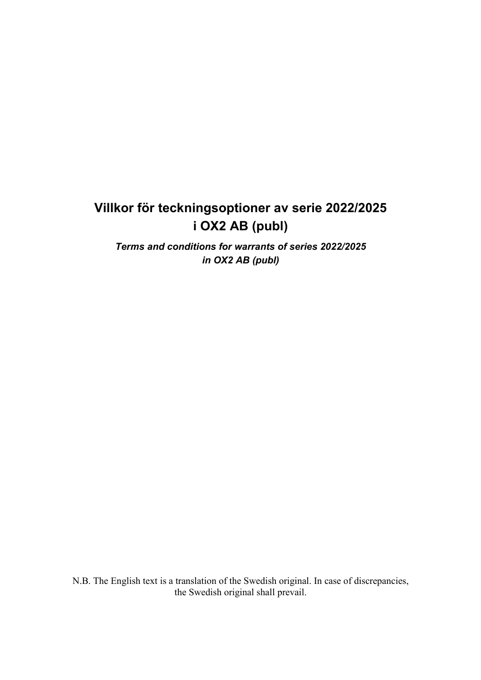# **Villkor för teckningsoptioner av serie 2022/2025 i OX2 AB (publ)**

*Terms and conditions for warrants of series 2022/2025 in OX2 AB (publ)* 

N.B. The English text is a translation of the Swedish original. In case of discrepancies, the Swedish original shall prevail.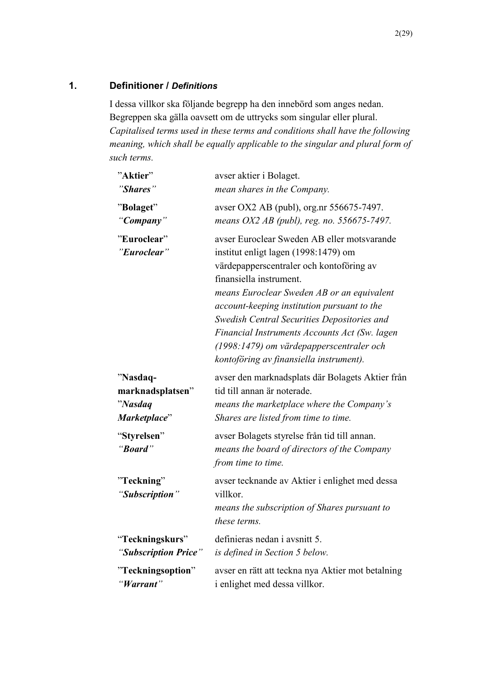## **1. Definitioner /** *Definitions*

I dessa villkor ska följande begrepp ha den innebörd som anges nedan. Begreppen ska gälla oavsett om de uttrycks som singular eller plural. *Capitalised terms used in these terms and conditions shall have the following meaning, which shall be equally applicable to the singular and plural form of such terms.* 

| "Aktier"                     | avser aktier i Bolaget.                                                                                                                                                                                                                                                                                                                                                                                                                        |
|------------------------------|------------------------------------------------------------------------------------------------------------------------------------------------------------------------------------------------------------------------------------------------------------------------------------------------------------------------------------------------------------------------------------------------------------------------------------------------|
| "Shares"                     | mean shares in the Company.                                                                                                                                                                                                                                                                                                                                                                                                                    |
| "Bolaget"                    | avser OX2 AB (publ), org.nr 556675-7497.                                                                                                                                                                                                                                                                                                                                                                                                       |
| "Company"                    | means OX2 AB (publ), reg. no. 556675-7497.                                                                                                                                                                                                                                                                                                                                                                                                     |
| "Euroclear"<br>"Euroclear"   | avser Euroclear Sweden AB eller motsvarande<br>institut enligt lagen (1998:1479) om<br>värdepapperscentraler och kontoföring av<br>finansiella instrument.<br>means Euroclear Sweden AB or an equivalent<br>account-keeping institution pursuant to the<br>Swedish Central Securities Depositories and<br>Financial Instruments Accounts Act (Sw. lagen<br>(1998:1479) om värdepapperscentraler och<br>kontoföring av finansiella instrument). |
| "Nasdaq-                     | avser den marknadsplats där Bolagets Aktier från                                                                                                                                                                                                                                                                                                                                                                                               |
| marknadsplatsen"             | tid till annan är noterade.                                                                                                                                                                                                                                                                                                                                                                                                                    |
| "Nasdaq                      | means the marketplace where the Company's                                                                                                                                                                                                                                                                                                                                                                                                      |
| Marketplace"                 | Shares are listed from time to time.                                                                                                                                                                                                                                                                                                                                                                                                           |
| "Styrelsen"<br>"Board"       | avser Bolagets styrelse från tid till annan.<br>means the board of directors of the Company<br>from time to time.                                                                                                                                                                                                                                                                                                                              |
| "Teckning"<br>"Subscription" | avser tecknande av Aktier i enlighet med dessa<br>villkor.<br>means the subscription of Shares pursuant to<br>these terms.                                                                                                                                                                                                                                                                                                                     |
| "Teckningskurs"              | definieras nedan i avsnitt 5.                                                                                                                                                                                                                                                                                                                                                                                                                  |
| "Subscription Price"         | is defined in Section 5 below.                                                                                                                                                                                                                                                                                                                                                                                                                 |
| "Teckningsoption"            | avser en rätt att teckna nya Aktier mot betalning                                                                                                                                                                                                                                                                                                                                                                                              |
| "Warrant"                    | i enlighet med dessa villkor.                                                                                                                                                                                                                                                                                                                                                                                                                  |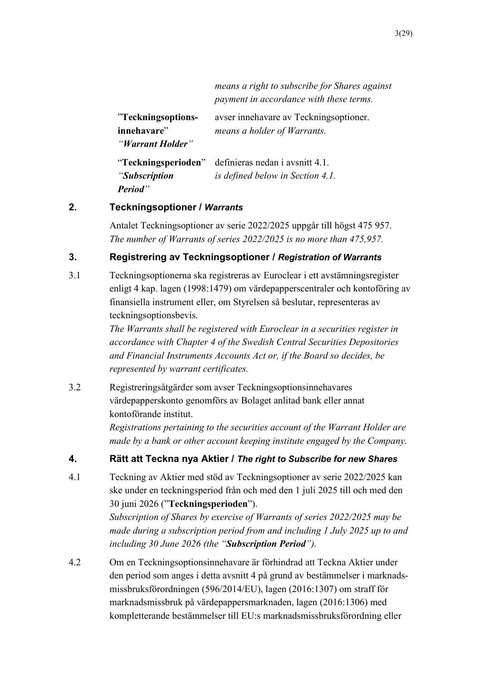|                     | means a right to subscribe for Shares against<br>payment in accordance with these terms. |
|---------------------|------------------------------------------------------------------------------------------|
| "Teckningsoptions-  | avser innehavare av Teckningsoptioner.                                                   |
| innehavare"         | means a holder of Warrants.                                                              |
| "Warrant Holder"    |                                                                                          |
| "Teckningsperioden" | definieras nedan i avsnitt 4.1.                                                          |
| "Subscription"      | is defined below in Section 4.1.                                                         |
| <b>Period</b> "     |                                                                                          |

## **2. Teckningsoptioner /** *Warrants*

Antalet Teckningsoptioner av serie 2022/2025 uppgår till högst 475 957. *The number of Warrants of series 2022/2025 is no more than 475,957.* 

## **3. Registrering av Teckningsoptioner /** *Registration of Warrants*

3.1 Teckningsoptionerna ska registreras av Euroclear i ett avstämningsregister enligt 4 kap. lagen (1998:1479) om värdepapperscentraler och kontoföring av finansiella instrument eller, om Styrelsen så beslutar, representeras av teckningsoptionsbevis.

> *The Warrants shall be registered with Euroclear in a securities register in accordance with Chapter 4 of the Swedish Central Securities Depositories and Financial Instruments Accounts Act or, if the Board so decides, be represented by warrant certificates.*

3.2 Registreringsåtgärder som avser Teckningsoptionsinnehavares värdepapperskonto genomförs av Bolaget anlitad bank eller annat kontoförande institut.

> *Registrations pertaining to the securities account of the Warrant Holder are made by a bank or other account keeping institute engaged by the Company.*

## **4. Rätt att Teckna nya Aktier /** *The right to Subscribe for new Shares*

4.1 Teckning av Aktier med stöd av Teckningsoptioner av serie 2022/2025 kan ske under en teckningsperiod från och med den 1 juli 2025 till och med den 30 juni 2026 ("**Teckningsperioden**").

> *Subscription of Shares by exercise of Warrants of series 2022/2025 may be made during a subscription period from and including 1 July 2025 up to and including 30 June 2026 (the "Subscription Period").*

4.2 Om en Teckningsoptionsinnehavare är förhindrad att Teckna Aktier under den period som anges i detta avsnitt 4 på grund av bestämmelser i marknadsmissbruksförordningen (596/2014/EU), lagen (2016:1307) om straff för marknadsmissbruk på värdepappersmarknaden, lagen (2016:1306) med kompletterande bestämmelser till EU:s marknadsmissbruksförordning eller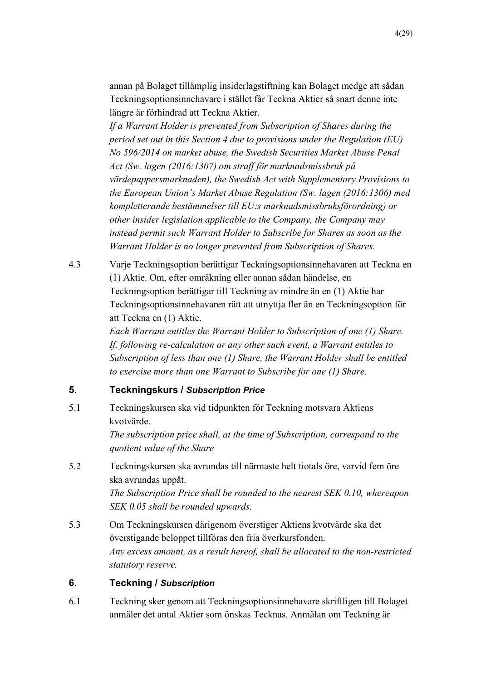annan på Bolaget tillämplig insiderlagstiftning kan Bolaget medge att sådan Teckningsoptionsinnehavare i stället får Teckna Aktier så snart denne inte längre är förhindrad att Teckna Aktier.

*If a Warrant Holder is prevented from Subscription of Shares during the period set out in this Section 4 due to provisions under the Regulation (EU) No 596/2014 on market abuse, the Swedish Securities Market Abuse Penal Act (Sw. lagen (2016:1307) om straff för marknadsmissbruk på värdepappersmarknaden), the Swedish Act with Supplementary Provisions to the European Union's Market Abuse Regulation (Sw. lagen (2016:1306) med kompletterande bestämmelser till EU:s marknadsmissbruksförordning) or other insider legislation applicable to the Company, the Company may instead permit such Warrant Holder to Subscribe for Shares as soon as the Warrant Holder is no longer prevented from Subscription of Shares.* 

4.3 Varje Teckningsoption berättigar Teckningsoptionsinnehavaren att Teckna en (1) Aktie. Om, efter omräkning eller annan sådan händelse, en Teckningsoption berättigar till Teckning av mindre än en (1) Aktie har Teckningsoptionsinnehavaren rätt att utnyttja fler än en Teckningsoption för att Teckna en (1) Aktie.

> *Each Warrant entitles the Warrant Holder to Subscription of one (1) Share. If, following re-calculation or any other such event, a Warrant entitles to Subscription of less than one (1) Share, the Warrant Holder shall be entitled to exercise more than one Warrant to Subscribe for one (1) Share.*

## **5. Teckningskurs /** *Subscription Price*

5.1 Teckningskursen ska vid tidpunkten för Teckning motsvara Aktiens kvotvärde.

> *The subscription price shall, at the time of Subscription, correspond to the quotient value of the Share*

5.2 Teckningskursen ska avrundas till närmaste helt tiotals öre, varvid fem öre ska avrundas uppåt. *The Subscription Price shall be rounded to the nearest SEK 0.10, whereupon* 

*SEK 0.05 shall be rounded upwards.* 

5.3 Om Teckningskursen därigenom överstiger Aktiens kvotvärde ska det överstigande beloppet tillföras den fria överkursfonden. *Any excess amount, as a result hereof, shall be allocated to the non-restricted statutory reserve.*

## **6. Teckning /** *Subscription*

6.1 Teckning sker genom att Teckningsoptionsinnehavare skriftligen till Bolaget anmäler det antal Aktier som önskas Tecknas. Anmälan om Teckning är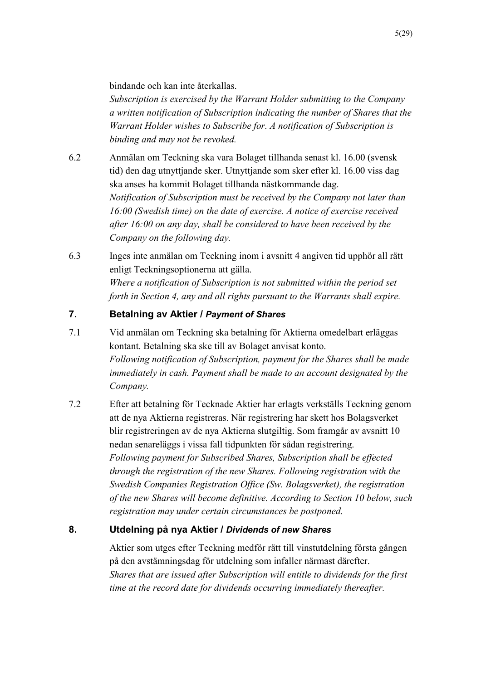bindande och kan inte återkallas.

*Subscription is exercised by the Warrant Holder submitting to the Company a written notification of Subscription indicating the number of Shares that the Warrant Holder wishes to Subscribe for. A notification of Subscription is binding and may not be revoked.*

- 6.2 Anmälan om Teckning ska vara Bolaget tillhanda senast kl. 16.00 (svensk tid) den dag utnyttjande sker. Utnyttjande som sker efter kl. 16.00 viss dag ska anses ha kommit Bolaget tillhanda nästkommande dag. *Notification of Subscription must be received by the Company not later than 16:00 (Swedish time) on the date of exercise. A notice of exercise received after 16:00 on any day, shall be considered to have been received by the Company on the following day.*
- 6.3 Inges inte anmälan om Teckning inom i avsnitt 4 angiven tid upphör all rätt enligt Teckningsoptionerna att gälla. *Where a notification of Subscription is not submitted within the period set forth in Section 4, any and all rights pursuant to the Warrants shall expire.*

# **7. Betalning av Aktier /** *Payment of Shares*

- 7.1 Vid anmälan om Teckning ska betalning för Aktierna omedelbart erläggas kontant. Betalning ska ske till av Bolaget anvisat konto. *Following notification of Subscription, payment for the Shares shall be made immediately in cash. Payment shall be made to an account designated by the Company.*
- 7.2 Efter att betalning för Tecknade Aktier har erlagts verkställs Teckning genom att de nya Aktierna registreras. När registrering har skett hos Bolagsverket blir registreringen av de nya Aktierna slutgiltig. Som framgår av avsnitt 10 nedan senareläggs i vissa fall tidpunkten för sådan registrering. *Following payment for Subscribed Shares, Subscription shall be effected through the registration of the new Shares. Following registration with the Swedish Companies Registration Office (Sw. Bolagsverket), the registration of the new Shares will become definitive. According to Section 10 below, such registration may under certain circumstances be postponed.*

## **8. Utdelning på nya Aktier /** *Dividends of new Shares*

Aktier som utges efter Teckning medför rätt till vinstutdelning första gången på den avstämningsdag för utdelning som infaller närmast därefter. *Shares that are issued after Subscription will entitle to dividends for the first time at the record date for dividends occurring immediately thereafter.*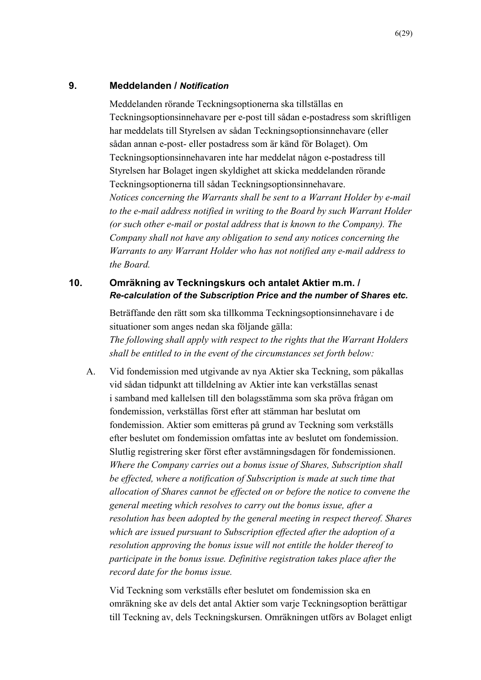## **9. Meddelanden /** *Notification*

Meddelanden rörande Teckningsoptionerna ska tillställas en Teckningsoptionsinnehavare per e-post till sådan e-postadress som skriftligen har meddelats till Styrelsen av sådan Teckningsoptionsinnehavare (eller sådan annan e-post- eller postadress som är känd för Bolaget). Om Teckningsoptionsinnehavaren inte har meddelat någon e-postadress till Styrelsen har Bolaget ingen skyldighet att skicka meddelanden rörande Teckningsoptionerna till sådan Teckningsoptionsinnehavare. *Notices concerning the Warrants shall be sent to a Warrant Holder by e-mail to the e-mail address notified in writing to the Board by such Warrant Holder (or such other e-mail or postal address that is known to the Company). The Company shall not have any obligation to send any notices concerning the Warrants to any Warrant Holder who has not notified any e-mail address to the Board.*

## **10. Omräkning av Teckningskurs och antalet Aktier m.m. /**  *Re-calculation of the Subscription Price and the number of Shares etc.*

Beträffande den rätt som ska tillkomma Teckningsoptionsinnehavare i de situationer som anges nedan ska följande gälla:

*The following shall apply with respect to the rights that the Warrant Holders shall be entitled to in the event of the circumstances set forth below:* 

A. Vid fondemission med utgivande av nya Aktier ska Teckning, som påkallas vid sådan tidpunkt att tilldelning av Aktier inte kan verkställas senast i samband med kallelsen till den bolagsstämma som ska pröva frågan om fondemission, verkställas först efter att stämman har beslutat om fondemission. Aktier som emitteras på grund av Teckning som verkställs efter beslutet om fondemission omfattas inte av beslutet om fondemission. Slutlig registrering sker först efter avstämningsdagen för fondemissionen. *Where the Company carries out a bonus issue of Shares, Subscription shall be effected, where a notification of Subscription is made at such time that allocation of Shares cannot be effected on or before the notice to convene the general meeting which resolves to carry out the bonus issue, after a resolution has been adopted by the general meeting in respect thereof. Shares which are issued pursuant to Subscription effected after the adoption of a resolution approving the bonus issue will not entitle the holder thereof to participate in the bonus issue. Definitive registration takes place after the record date for the bonus issue.* 

Vid Teckning som verkställs efter beslutet om fondemission ska en omräkning ske av dels det antal Aktier som varje Teckningsoption berättigar till Teckning av, dels Teckningskursen. Omräkningen utförs av Bolaget enligt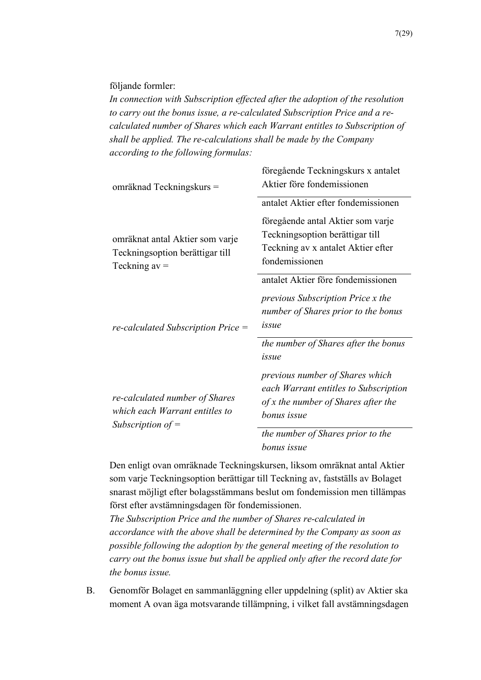följande formler:

*In connection with Subscription effected after the adoption of the resolution to carry out the bonus issue, a re-calculated Subscription Price and a recalculated number of Shares which each Warrant entitles to Subscription of shall be applied. The re-calculations shall be made by the Company according to the following formulas:*

| omräknad Teckningskurs =                                                                | föregående Teckningskurs x antalet<br>Aktier före fondemissionen                                                               |
|-----------------------------------------------------------------------------------------|--------------------------------------------------------------------------------------------------------------------------------|
|                                                                                         | antalet Aktier efter fondemissionen                                                                                            |
| omräknat antal Aktier som varje<br>Teckningsoption berättigar till<br>Teckning $av =$   | föregående antal Aktier som varje<br>Teckningsoption berättigar till<br>Teckning av x antalet Aktier efter<br>fondemissionen   |
| $re\text{-}calculated$ Subscription Price $=$                                           | antalet Aktier före fondemissionen<br><i>previous Subscription Price x the</i><br>number of Shares prior to the bonus<br>issue |
|                                                                                         | the number of Shares after the bonus<br>issue                                                                                  |
| re-calculated number of Shares<br>which each Warrant entitles to<br>Subscription of $=$ | previous number of Shares which<br>each Warrant entitles to Subscription<br>of x the number of Shares after the<br>bonus issue |
|                                                                                         | the number of Shares prior to the<br>bonus issue                                                                               |

Den enligt ovan omräknade Teckningskursen, liksom omräknat antal Aktier som varje Teckningsoption berättigar till Teckning av, fastställs av Bolaget snarast möjligt efter bolagsstämmans beslut om fondemission men tillämpas först efter avstämningsdagen för fondemissionen.

*The Subscription Price and the number of Shares re-calculated in accordance with the above shall be determined by the Company as soon as possible following the adoption by the general meeting of the resolution to carry out the bonus issue but shall be applied only after the record date for the bonus issue.* 

B. Genomför Bolaget en sammanläggning eller uppdelning (split) av Aktier ska moment A ovan äga motsvarande tillämpning, i vilket fall avstämningsdagen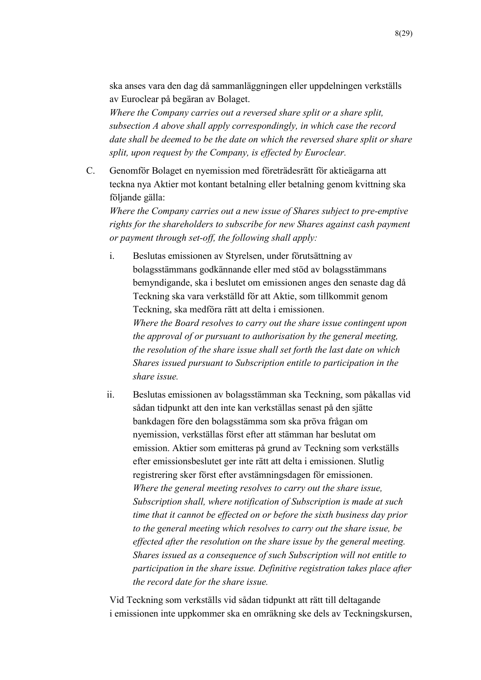ska anses vara den dag då sammanläggningen eller uppdelningen verkställs av Euroclear på begäran av Bolaget.

*Where the Company carries out a reversed share split or a share split, subsection A above shall apply correspondingly, in which case the record date shall be deemed to be the date on which the reversed share split or share split, upon request by the Company, is effected by Euroclear.*

C. Genomför Bolaget en nyemission med företrädesrätt för aktieägarna att teckna nya Aktier mot kontant betalning eller betalning genom kvittning ska följande gälla:

*Where the Company carries out a new issue of Shares subject to pre-emptive rights for the shareholders to subscribe for new Shares against cash payment or payment through set-off, the following shall apply:*

i. Beslutas emissionen av Styrelsen, under förutsättning av bolagsstämmans godkännande eller med stöd av bolagsstämmans bemyndigande, ska i beslutet om emissionen anges den senaste dag då Teckning ska vara verkställd för att Aktie, som tillkommit genom Teckning, ska medföra rätt att delta i emissionen. *Where the Board resolves to carry out the share issue contingent upon the approval of or pursuant to authorisation by the general meeting, the resolution of the share issue shall set forth the last date on which Shares issued pursuant to Subscription entitle to participation in the share issue.*

ii. Beslutas emissionen av bolagsstämman ska Teckning, som påkallas vid sådan tidpunkt att den inte kan verkställas senast på den sjätte bankdagen före den bolagsstämma som ska pröva frågan om nyemission, verkställas först efter att stämman har beslutat om emission. Aktier som emitteras på grund av Teckning som verkställs efter emissionsbeslutet ger inte rätt att delta i emissionen. Slutlig registrering sker först efter avstämningsdagen för emissionen. *Where the general meeting resolves to carry out the share issue, Subscription shall, where notification of Subscription is made at such time that it cannot be effected on or before the sixth business day prior to the general meeting which resolves to carry out the share issue, be effected after the resolution on the share issue by the general meeting. Shares issued as a consequence of such Subscription will not entitle to participation in the share issue. Definitive registration takes place after the record date for the share issue.*

Vid Teckning som verkställs vid sådan tidpunkt att rätt till deltagande i emissionen inte uppkommer ska en omräkning ske dels av Teckningskursen,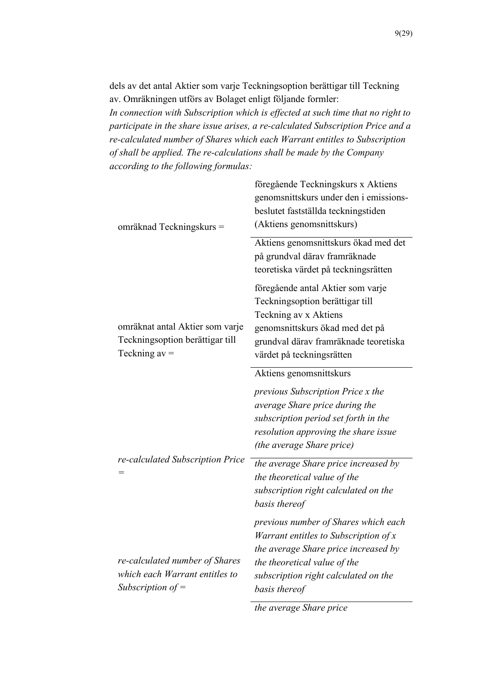dels av det antal Aktier som varje Teckningsoption berättigar till Teckning av. Omräkningen utförs av Bolaget enligt följande formler: *In connection with Subscription which is effected at such time that no right to participate in the share issue arises, a re-calculated Subscription Price and a re-calculated number of Shares which each Warrant entitles to Subscription of shall be applied. The re-calculations shall be made by the Company according to the following formulas:*

| omräknad Teckningskurs =                                                                | föregående Teckningskurs x Aktiens<br>genomsnittskurs under den i emissions-<br>beslutet fastställda teckningstiden<br>(Aktiens genomsnittskurs)                                                                 |
|-----------------------------------------------------------------------------------------|------------------------------------------------------------------------------------------------------------------------------------------------------------------------------------------------------------------|
|                                                                                         | Aktiens genomsnittskurs ökad med det<br>på grundval därav framräknade<br>teoretiska värdet på teckningsrätten                                                                                                    |
| omräknat antal Aktier som varje<br>Teckningsoption berättigar till<br>Teckning $av =$   | föregående antal Aktier som varje<br>Teckningsoption berättigar till<br>Teckning av x Aktiens<br>genomsnittskurs ökad med det på<br>grundval därav framräknade teoretiska<br>värdet på teckningsrätten           |
|                                                                                         | Aktiens genomsnittskurs                                                                                                                                                                                          |
| re-calculated Subscription Price<br>=                                                   | previous Subscription Price x the<br>average Share price during the<br>subscription period set forth in the<br>resolution approving the share issue<br><i>(the average Share price)</i>                          |
|                                                                                         | the average Share price increased by<br>the theoretical value of the<br>subscription right calculated on the<br>basis thereof                                                                                    |
| re-calculated number of Shares<br>which each Warrant entitles to<br>Subscription of $=$ | previous number of Shares which each<br>Warrant entitles to Subscription of $x$<br>the average Share price increased by<br>the theoretical value of the<br>subscription right calculated on the<br>basis thereof |

*the average Share price*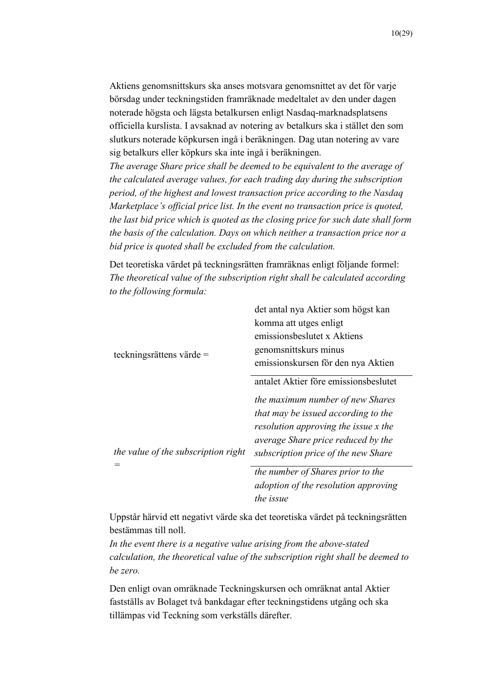Aktiens genomsnittskurs ska anses motsvara genomsnittet av det för varje börsdag under teckningstiden framräknade medeltalet av den under dagen noterade högsta och lägsta betalkursen enligt Nasdaq-marknadsplatsens officiella kurslista. I avsaknad av notering av betalkurs ska i stället den som slutkurs noterade köpkursen ingå i beräkningen. Dag utan notering av vare sig betalkurs eller köpkurs ska inte ingå i beräkningen.

*The average Share price shall be deemed to be equivalent to the average of the calculated average values, for each trading day during the subscription period, of the highest and lowest transaction price according to the Nasdaq Marketplace's official price list. In the event no transaction price is quoted, the last bid price which is quoted as the closing price for such date shall form the basis of the calculation. Days on which neither a transaction price nor a bid price is quoted shall be excluded from the calculation.*

Det teoretiska värdet på teckningsrätten framräknas enligt följande formel: *The theoretical value of the subscription right shall be calculated according to the following formula:*

|                                     | det antal nya Aktier som högst kan    |
|-------------------------------------|---------------------------------------|
|                                     | komma att utges enligt                |
|                                     | emissionsbeslutet x Aktiens           |
| teckningsrättens värde $=$          | genomsnittskurs minus                 |
|                                     | emissionskursen för den nya Aktien    |
|                                     | antalet Aktier före emissionsbeslutet |
|                                     | the maximum number of new Shares      |
| the value of the subscription right | that may be issued according to the   |
|                                     | resolution approving the issue x the  |
|                                     | average Share price reduced by the    |
|                                     | subscription price of the new Share   |
|                                     | the number of Shares prior to the     |
|                                     | adoption of the resolution approving  |

*the issue*  Uppstår härvid ett negativt värde ska det teoretiska värdet på teckningsrätten bestämmas till noll.

*In the event there is a negative value arising from the above-stated calculation, the theoretical value of the subscription right shall be deemed to be zero.*

Den enligt ovan omräknade Teckningskursen och omräknat antal Aktier fastställs av Bolaget två bankdagar efter teckningstidens utgång och ska tillämpas vid Teckning som verkställs därefter.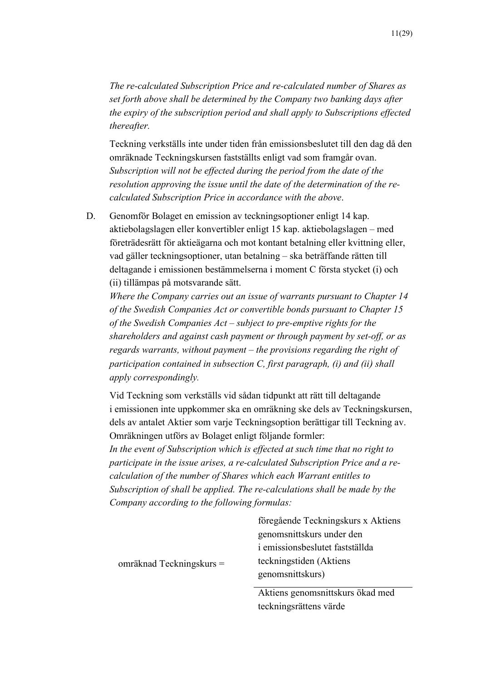*The re-calculated Subscription Price and re-calculated number of Shares as set forth above shall be determined by the Company two banking days after the expiry of the subscription period and shall apply to Subscriptions effected thereafter.*

Teckning verkställs inte under tiden från emissionsbeslutet till den dag då den omräknade Teckningskursen fastställts enligt vad som framgår ovan. *Subscription will not be effected during the period from the date of the resolution approving the issue until the date of the determination of the recalculated Subscription Price in accordance with the above*.

D. Genomför Bolaget en emission av teckningsoptioner enligt 14 kap. aktiebolagslagen eller konvertibler enligt 15 kap. aktiebolagslagen – med företrädesrätt för aktieägarna och mot kontant betalning eller kvittning eller, vad gäller teckningsoptioner, utan betalning – ska beträffande rätten till deltagande i emissionen bestämmelserna i moment C första stycket (i) och (ii) tillämpas på motsvarande sätt.

*Where the Company carries out an issue of warrants pursuant to Chapter 14 of the Swedish Companies Act or convertible bonds pursuant to Chapter 15 of the Swedish Companies Act – subject to pre-emptive rights for the shareholders and against cash payment or through payment by set-off, or as regards warrants, without payment – the provisions regarding the right of participation contained in subsection C, first paragraph, (i) and (ii) shall apply correspondingly.*

Vid Teckning som verkställs vid sådan tidpunkt att rätt till deltagande i emissionen inte uppkommer ska en omräkning ske dels av Teckningskursen, dels av antalet Aktier som varje Teckningsoption berättigar till Teckning av. Omräkningen utförs av Bolaget enligt följande formler:

*In the event of Subscription which is effected at such time that no right to participate in the issue arises, a re-calculated Subscription Price and a recalculation of the number of Shares which each Warrant entitles to Subscription of shall be applied. The re-calculations shall be made by the Company according to the following formulas:*

|                            | föregående Teckningskurs x Aktiens |
|----------------------------|------------------------------------|
|                            | genomsnittskurs under den          |
| omräknad Teckningskurs $=$ | i emissionsbeslutet fastställda    |
|                            | teckningstiden (Aktiens            |
|                            | genomsnittskurs)                   |
|                            |                                    |

Aktiens genomsnittskurs ökad med teckningsrättens värde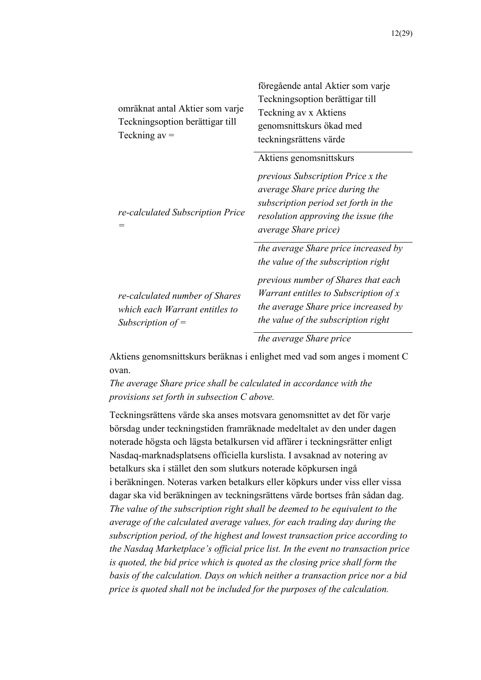| omräknat antal Aktier som varje<br>Teckningsoption berättigar till<br>Teckning $av =$   | föregående antal Aktier som varje<br>Teckningsoption berättigar till<br>Teckning av x Aktiens<br>genomsnittskurs ökad med<br>teckningsrättens värde                                                                                                                   |
|-----------------------------------------------------------------------------------------|-----------------------------------------------------------------------------------------------------------------------------------------------------------------------------------------------------------------------------------------------------------------------|
| re-calculated Subscription Price                                                        | Aktiens genomsnittskurs<br><i>previous Subscription Price x the</i><br>average Share price during the<br>subscription period set forth in the<br>resolution approving the issue (the<br><i>average Share price</i> )                                                  |
| re-calculated number of Shares<br>which each Warrant entitles to<br>Subscription of $=$ | the average Share price increased by<br>the value of the subscription right<br>previous number of Shares that each<br>Warrant entitles to Subscription of x<br>the average Share price increased by<br>the value of the subscription right<br>the average Share price |

Aktiens genomsnittskurs beräknas i enlighet med vad som anges i moment C ovan.

*The average Share price shall be calculated in accordance with the provisions set forth in subsection C above.*

Teckningsrättens värde ska anses motsvara genomsnittet av det för varje börsdag under teckningstiden framräknade medeltalet av den under dagen noterade högsta och lägsta betalkursen vid affärer i teckningsrätter enligt Nasdaq-marknadsplatsens officiella kurslista. I avsaknad av notering av betalkurs ska i stället den som slutkurs noterade köpkursen ingå i beräkningen. Noteras varken betalkurs eller köpkurs under viss eller vissa dagar ska vid beräkningen av teckningsrättens värde bortses från sådan dag. *The value of the subscription right shall be deemed to be equivalent to the average of the calculated average values, for each trading day during the subscription period, of the highest and lowest transaction price according to the Nasdaq Marketplace's official price list. In the event no transaction price is quoted, the bid price which is quoted as the closing price shall form the basis of the calculation. Days on which neither a transaction price nor a bid price is quoted shall not be included for the purposes of the calculation.*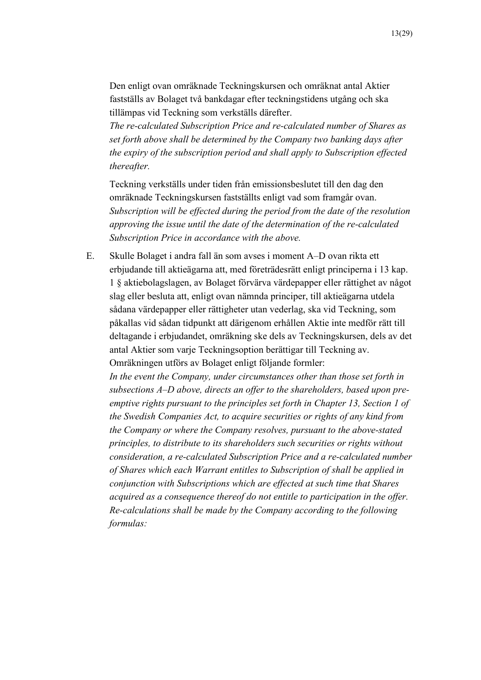Den enligt ovan omräknade Teckningskursen och omräknat antal Aktier fastställs av Bolaget två bankdagar efter teckningstidens utgång och ska tillämpas vid Teckning som verkställs därefter.

*The re-calculated Subscription Price and re-calculated number of Shares as set forth above shall be determined by the Company two banking days after the expiry of the subscription period and shall apply to Subscription effected thereafter.*

Teckning verkställs under tiden från emissionsbeslutet till den dag den omräknade Teckningskursen fastställts enligt vad som framgår ovan. *Subscription will be effected during the period from the date of the resolution approving the issue until the date of the determination of the re-calculated Subscription Price in accordance with the above.*

E. Skulle Bolaget i andra fall än som avses i moment A–D ovan rikta ett erbjudande till aktieägarna att, med företrädesrätt enligt principerna i 13 kap. 1 § aktiebolagslagen, av Bolaget förvärva värdepapper eller rättighet av något slag eller besluta att, enligt ovan nämnda principer, till aktieägarna utdela sådana värdepapper eller rättigheter utan vederlag, ska vid Teckning, som påkallas vid sådan tidpunkt att därigenom erhållen Aktie inte medför rätt till deltagande i erbjudandet, omräkning ske dels av Teckningskursen, dels av det antal Aktier som varje Teckningsoption berättigar till Teckning av. Omräkningen utförs av Bolaget enligt följande formler:

*In the event the Company, under circumstances other than those set forth in subsections A–D above, directs an offer to the shareholders, based upon preemptive rights pursuant to the principles set forth in Chapter 13, Section 1 of the Swedish Companies Act, to acquire securities or rights of any kind from the Company or where the Company resolves, pursuant to the above-stated principles, to distribute to its shareholders such securities or rights without consideration, a re-calculated Subscription Price and a re-calculated number of Shares which each Warrant entitles to Subscription of shall be applied in conjunction with Subscriptions which are effected at such time that Shares acquired as a consequence thereof do not entitle to participation in the offer. Re-calculations shall be made by the Company according to the following formulas:*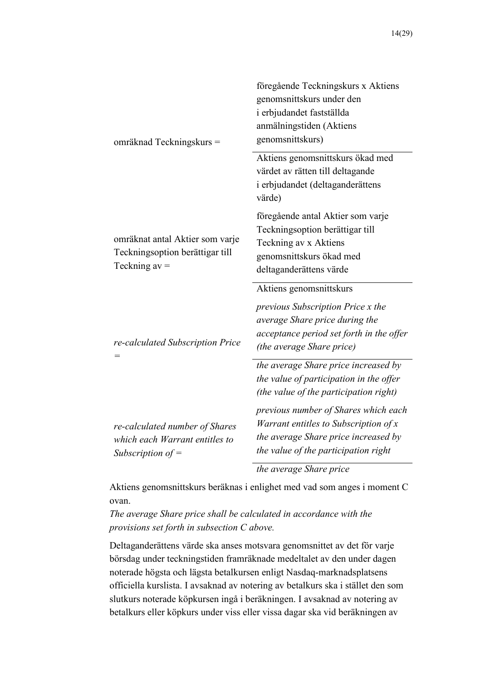| omräknad Teckningskurs =                                                                | föregående Teckningskurs x Aktiens<br>genomsnittskurs under den<br>i erbjudandet fastställda<br>anmälningstiden (Aktiens<br>genomsnittskurs)                            |
|-----------------------------------------------------------------------------------------|-------------------------------------------------------------------------------------------------------------------------------------------------------------------------|
|                                                                                         | Aktiens genomsnittskurs ökad med<br>värdet av rätten till deltagande<br>i erbjudandet (deltaganderättens<br>värde)                                                      |
| omräknat antal Aktier som varje<br>Teckningsoption berättigar till<br>Teckning $av =$   | föregående antal Aktier som varje<br>Teckningsoption berättigar till<br>Teckning av x Aktiens<br>genomsnittskurs ökad med<br>deltaganderättens värde                    |
| re-calculated Subscription Price                                                        | Aktiens genomsnittskurs<br>previous Subscription Price x the<br>average Share price during the<br>acceptance period set forth in the offer<br>(the average Share price) |
|                                                                                         | the average Share price increased by<br>the value of participation in the offer<br>(the value of the participation right)                                               |
| re-calculated number of Shares<br>which each Warrant entitles to<br>Subscription of $=$ | previous number of Shares which each<br>Warrant entitles to Subscription of $x$<br>the average Share price increased by<br>the value of the participation right         |
|                                                                                         | the average Share price                                                                                                                                                 |

Aktiens genomsnittskurs beräknas i enlighet med vad som anges i moment C ovan.

*The average Share price shall be calculated in accordance with the provisions set forth in subsection C above.*

Deltaganderättens värde ska anses motsvara genomsnittet av det för varje börsdag under teckningstiden framräknade medeltalet av den under dagen noterade högsta och lägsta betalkursen enligt Nasdaq-marknadsplatsens officiella kurslista. I avsaknad av notering av betalkurs ska i stället den som slutkurs noterade köpkursen ingå i beräkningen. I avsaknad av notering av betalkurs eller köpkurs under viss eller vissa dagar ska vid beräkningen av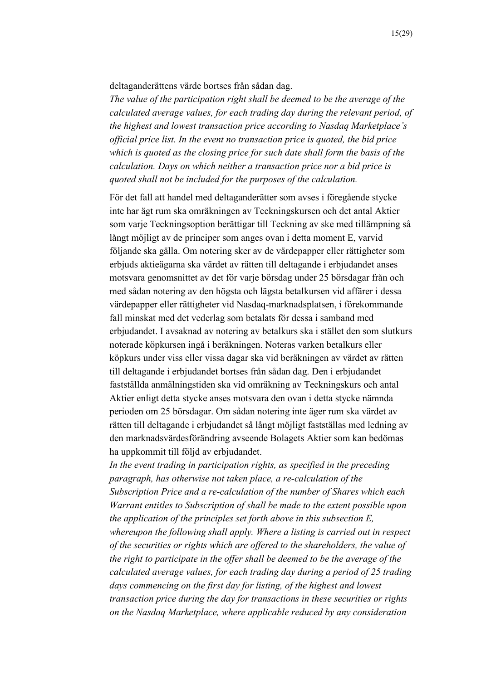deltaganderättens värde bortses från sådan dag.

*The value of the participation right shall be deemed to be the average of the calculated average values, for each trading day during the relevant period, of the highest and lowest transaction price according to Nasdaq Marketplace's official price list. In the event no transaction price is quoted, the bid price which is quoted as the closing price for such date shall form the basis of the calculation. Days on which neither a transaction price nor a bid price is quoted shall not be included for the purposes of the calculation.*

För det fall att handel med deltaganderätter som avses i föregående stycke inte har ägt rum ska omräkningen av Teckningskursen och det antal Aktier som varje Teckningsoption berättigar till Teckning av ske med tillämpning så långt möjligt av de principer som anges ovan i detta moment E, varvid följande ska gälla. Om notering sker av de värdepapper eller rättigheter som erbjuds aktieägarna ska värdet av rätten till deltagande i erbjudandet anses motsvara genomsnittet av det för varje börsdag under 25 börsdagar från och med sådan notering av den högsta och lägsta betalkursen vid affärer i dessa värdepapper eller rättigheter vid Nasdaq-marknadsplatsen, i förekommande fall minskat med det vederlag som betalats för dessa i samband med erbjudandet. I avsaknad av notering av betalkurs ska i stället den som slutkurs noterade köpkursen ingå i beräkningen. Noteras varken betalkurs eller köpkurs under viss eller vissa dagar ska vid beräkningen av värdet av rätten till deltagande i erbjudandet bortses från sådan dag. Den i erbjudandet fastställda anmälningstiden ska vid omräkning av Teckningskurs och antal Aktier enligt detta stycke anses motsvara den ovan i detta stycke nämnda perioden om 25 börsdagar. Om sådan notering inte äger rum ska värdet av rätten till deltagande i erbjudandet så långt möjligt fastställas med ledning av den marknadsvärdesförändring avseende Bolagets Aktier som kan bedömas ha uppkommit till följd av erbjudandet.

*In the event trading in participation rights, as specified in the preceding paragraph, has otherwise not taken place, a re-calculation of the Subscription Price and a re-calculation of the number of Shares which each Warrant entitles to Subscription of shall be made to the extent possible upon the application of the principles set forth above in this subsection E, whereupon the following shall apply. Where a listing is carried out in respect of the securities or rights which are offered to the shareholders, the value of the right to participate in the offer shall be deemed to be the average of the calculated average values, for each trading day during a period of 25 trading days commencing on the first day for listing, of the highest and lowest transaction price during the day for transactions in these securities or rights on the Nasdaq Marketplace, where applicable reduced by any consideration*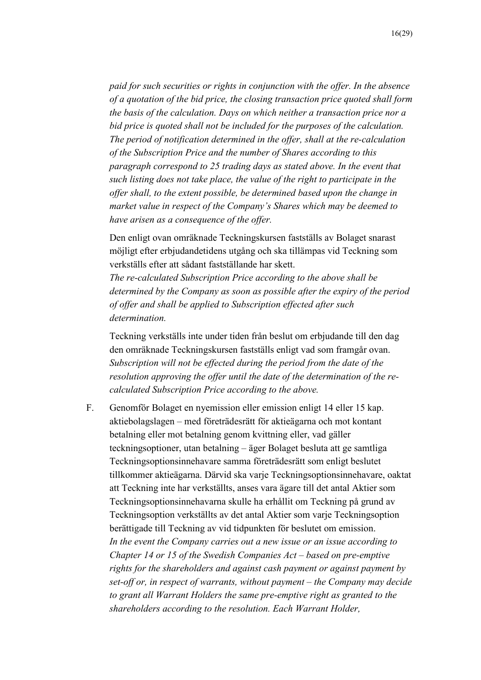*paid for such securities or rights in conjunction with the offer. In the absence of a quotation of the bid price, the closing transaction price quoted shall form the basis of the calculation. Days on which neither a transaction price nor a bid price is quoted shall not be included for the purposes of the calculation. The period of notification determined in the offer, shall at the re-calculation of the Subscription Price and the number of Shares according to this paragraph correspond to 25 trading days as stated above. In the event that such listing does not take place, the value of the right to participate in the offer shall, to the extent possible, be determined based upon the change in market value in respect of the Company's Shares which may be deemed to have arisen as a consequence of the offer.*

Den enligt ovan omräknade Teckningskursen fastställs av Bolaget snarast möjligt efter erbjudandetidens utgång och ska tillämpas vid Teckning som verkställs efter att sådant fastställande har skett.

*The re-calculated Subscription Price according to the above shall be determined by the Company as soon as possible after the expiry of the period of offer and shall be applied to Subscription effected after such determination.*

Teckning verkställs inte under tiden från beslut om erbjudande till den dag den omräknade Teckningskursen fastställs enligt vad som framgår ovan. *Subscription will not be effected during the period from the date of the resolution approving the offer until the date of the determination of the recalculated Subscription Price according to the above.*

F. Genomför Bolaget en nyemission eller emission enligt 14 eller 15 kap. aktiebolagslagen – med företrädesrätt för aktieägarna och mot kontant betalning eller mot betalning genom kvittning eller, vad gäller teckningsoptioner, utan betalning – äger Bolaget besluta att ge samtliga Teckningsoptionsinnehavare samma företrädesrätt som enligt beslutet tillkommer aktieägarna. Därvid ska varje Teckningsoptionsinnehavare, oaktat att Teckning inte har verkställts, anses vara ägare till det antal Aktier som Teckningsoptionsinnehavarna skulle ha erhållit om Teckning på grund av Teckningsoption verkställts av det antal Aktier som varje Teckningsoption berättigade till Teckning av vid tidpunkten för beslutet om emission. *In the event the Company carries out a new issue or an issue according to Chapter 14 or 15 of the Swedish Companies Act – based on pre-emptive rights for the shareholders and against cash payment or against payment by set-off or, in respect of warrants, without payment – the Company may decide to grant all Warrant Holders the same pre-emptive right as granted to the shareholders according to the resolution. Each Warrant Holder,*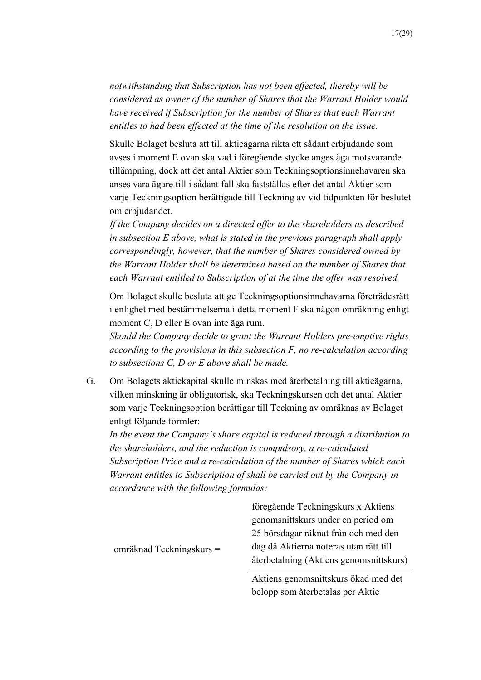Skulle Bolaget besluta att till aktieägarna rikta ett sådant erbjudande som avses i moment E ovan ska vad i föregående stycke anges äga motsvarande tillämpning, dock att det antal Aktier som Teckningsoptionsinnehavaren ska anses vara ägare till i sådant fall ska fastställas efter det antal Aktier som varje Teckningsoption berättigade till Teckning av vid tidpunkten för beslutet om erbjudandet.

*entitles to had been effected at the time of the resolution on the issue.*

*If the Company decides on a directed offer to the shareholders as described in subsection E above, what is stated in the previous paragraph shall apply correspondingly, however, that the number of Shares considered owned by the Warrant Holder shall be determined based on the number of Shares that each Warrant entitled to Subscription of at the time the offer was resolved.*

Om Bolaget skulle besluta att ge Teckningsoptionsinnehavarna företrädesrätt i enlighet med bestämmelserna i detta moment F ska någon omräkning enligt moment C, D eller E ovan inte äga rum.

*Should the Company decide to grant the Warrant Holders pre-emptive rights according to the provisions in this subsection F, no re-calculation according to subsections C, D or E above shall be made.*

G. Om Bolagets aktiekapital skulle minskas med återbetalning till aktieägarna, vilken minskning är obligatorisk, ska Teckningskursen och det antal Aktier som varje Teckningsoption berättigar till Teckning av omräknas av Bolaget enligt följande formler:

*In the event the Company's share capital is reduced through a distribution to the shareholders, and the reduction is compulsory, a re-calculated Subscription Price and a re-calculation of the number of Shares which each Warrant entitles to Subscription of shall be carried out by the Company in accordance with the following formulas:*

|                            | föregående Teckningskurs x Aktiens      |
|----------------------------|-----------------------------------------|
|                            | genomsnittskurs under en period om      |
|                            | 25 börsdagar räknat från och med den    |
| omräknad Teckningskurs $=$ | dag då Aktierna noteras utan rätt till  |
|                            | återbetalning (Aktiens genomsnittskurs) |
|                            | Altiona conomanittalawa ökod mod dot    |

Aktiens genomsnittskurs ökad med det belopp som återbetalas per Aktie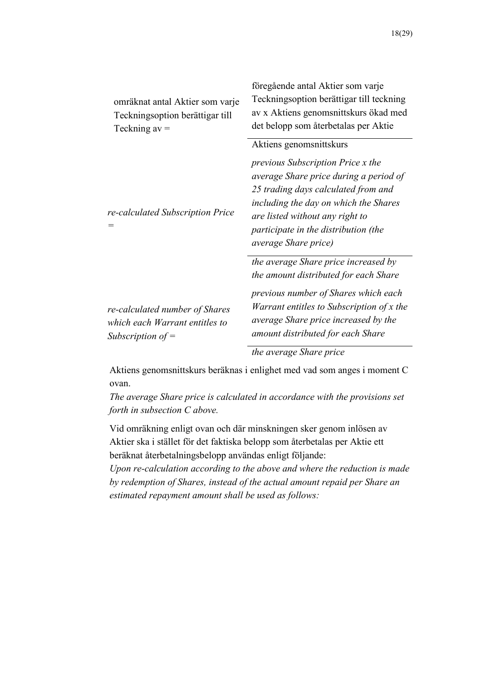| omräknat antal Aktier som varje<br>Teckningsoption berättigar till<br>Teckning $av =$   | föregående antal Aktier som varje<br>Teckningsoption berättigar till teckning<br>av x Aktiens genomsnittskurs ökad med<br>det belopp som återbetalas per Aktie                                                                                                                                           |
|-----------------------------------------------------------------------------------------|----------------------------------------------------------------------------------------------------------------------------------------------------------------------------------------------------------------------------------------------------------------------------------------------------------|
| re-calculated Subscription Price                                                        | Aktiens genomsnittskurs<br><i>previous Subscription Price x the</i><br>average Share price during a period of<br>25 trading days calculated from and<br>including the day on which the Shares<br>are listed without any right to<br>participate in the distribution (the<br><i>average Share price</i> ) |
| re-calculated number of Shares<br>which each Warrant entitles to<br>Subscription of $=$ | the average Share price increased by<br>the amount distributed for each Share<br>previous number of Shares which each<br>Warrant entitles to Subscription of x the<br>average Share price increased by the<br>amount distributed for each Share                                                          |
|                                                                                         | the average Share price                                                                                                                                                                                                                                                                                  |

Aktiens genomsnittskurs beräknas i enlighet med vad som anges i moment C ovan.

*The average Share price is calculated in accordance with the provisions set forth in subsection C above.*

Vid omräkning enligt ovan och där minskningen sker genom inlösen av Aktier ska i stället för det faktiska belopp som återbetalas per Aktie ett beräknat återbetalningsbelopp användas enligt följande:

*Upon re-calculation according to the above and where the reduction is made by redemption of Shares, instead of the actual amount repaid per Share an estimated repayment amount shall be used as follows:*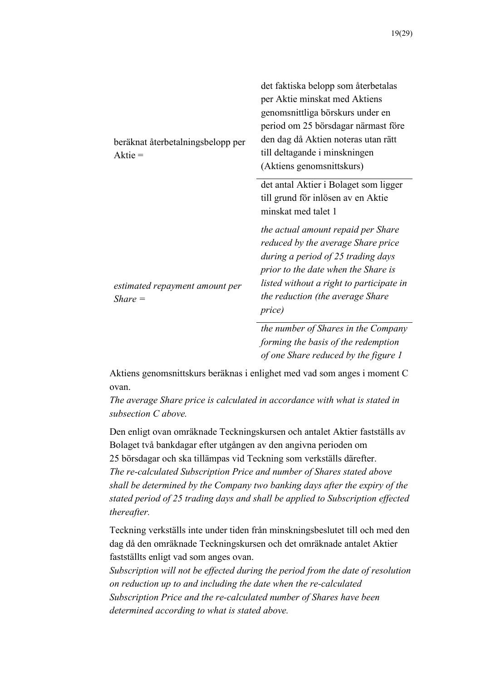| beräknat återbetalningsbelopp per<br>$A$ ktie = | det faktiska belopp som återbetalas<br>per Aktie minskat med Aktiens<br>genomsnittliga börskurs under en<br>period om 25 börsdagar närmast före<br>den dag då Aktien noteras utan rätt<br>till deltagande i minskningen<br>(Aktiens genomsnittskurs) |
|-------------------------------------------------|------------------------------------------------------------------------------------------------------------------------------------------------------------------------------------------------------------------------------------------------------|
|                                                 | det antal Aktier i Bolaget som ligger<br>till grund för inlösen av en Aktie<br>minskat med talet 1                                                                                                                                                   |
| estimated repayment amount per<br>$Share =$     | the actual amount repaid per Share<br>reduced by the average Share price<br>during a period of 25 trading days<br>prior to the date when the Share is<br>listed without a right to participate in<br>the reduction (the average Share<br>price)      |
|                                                 | the number of Shares in the Company                                                                                                                                                                                                                  |

*forming the basis of the redemption of one Share reduced by the figure 1* 

Aktiens genomsnittskurs beräknas i enlighet med vad som anges i moment C ovan.

*The average Share price is calculated in accordance with what is stated in subsection C above.*

Den enligt ovan omräknade Teckningskursen och antalet Aktier fastställs av Bolaget två bankdagar efter utgången av den angivna perioden om 25 börsdagar och ska tillämpas vid Teckning som verkställs därefter. *The re-calculated Subscription Price and number of Shares stated above shall be determined by the Company two banking days after the expiry of the stated period of 25 trading days and shall be applied to Subscription effected thereafter.*

Teckning verkställs inte under tiden från minskningsbeslutet till och med den dag då den omräknade Teckningskursen och det omräknade antalet Aktier fastställts enligt vad som anges ovan.

*Subscription will not be effected during the period from the date of resolution on reduction up to and including the date when the re-calculated Subscription Price and the re-calculated number of Shares have been determined according to what is stated above.*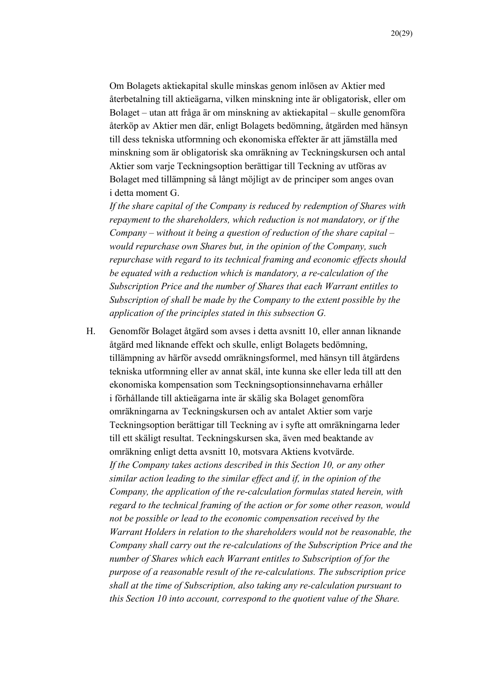Om Bolagets aktiekapital skulle minskas genom inlösen av Aktier med återbetalning till aktieägarna, vilken minskning inte är obligatorisk, eller om Bolaget – utan att fråga är om minskning av aktiekapital – skulle genomföra återköp av Aktier men där, enligt Bolagets bedömning, åtgärden med hänsyn till dess tekniska utformning och ekonomiska effekter är att jämställa med minskning som är obligatorisk ska omräkning av Teckningskursen och antal Aktier som varje Teckningsoption berättigar till Teckning av utföras av Bolaget med tillämpning så långt möjligt av de principer som anges ovan i detta moment G.

*If the share capital of the Company is reduced by redemption of Shares with repayment to the shareholders, which reduction is not mandatory, or if the Company – without it being a question of reduction of the share capital – would repurchase own Shares but, in the opinion of the Company, such repurchase with regard to its technical framing and economic effects should be equated with a reduction which is mandatory, a re-calculation of the Subscription Price and the number of Shares that each Warrant entitles to Subscription of shall be made by the Company to the extent possible by the application of the principles stated in this subsection G.*

H. Genomför Bolaget åtgärd som avses i detta avsnitt 10, eller annan liknande åtgärd med liknande effekt och skulle, enligt Bolagets bedömning, tillämpning av härför avsedd omräkningsformel, med hänsyn till åtgärdens tekniska utformning eller av annat skäl, inte kunna ske eller leda till att den ekonomiska kompensation som Teckningsoptionsinnehavarna erhåller i förhållande till aktieägarna inte är skälig ska Bolaget genomföra omräkningarna av Teckningskursen och av antalet Aktier som varje Teckningsoption berättigar till Teckning av i syfte att omräkningarna leder till ett skäligt resultat. Teckningskursen ska, även med beaktande av omräkning enligt detta avsnitt 10, motsvara Aktiens kvotvärde. *If the Company takes actions described in this Section 10, or any other similar action leading to the similar effect and if, in the opinion of the Company, the application of the re-calculation formulas stated herein, with regard to the technical framing of the action or for some other reason, would not be possible or lead to the economic compensation received by the Warrant Holders in relation to the shareholders would not be reasonable, the Company shall carry out the re-calculations of the Subscription Price and the number of Shares which each Warrant entitles to Subscription of for the purpose of a reasonable result of the re-calculations. The subscription price shall at the time of Subscription, also taking any re-calculation pursuant to this Section 10 into account, correspond to the quotient value of the Share.*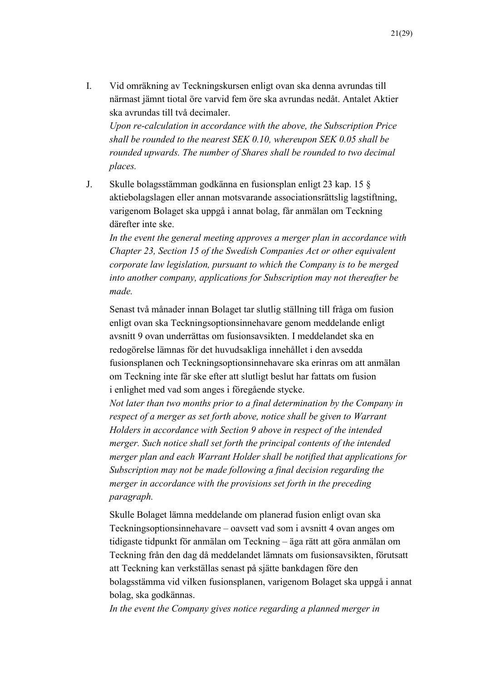I. Vid omräkning av Teckningskursen enligt ovan ska denna avrundas till närmast jämnt tiotal öre varvid fem öre ska avrundas nedåt. Antalet Aktier ska avrundas till två decimaler.

*Upon re-calculation in accordance with the above, the Subscription Price shall be rounded to the nearest SEK 0.10, whereupon SEK 0.05 shall be rounded upwards. The number of Shares shall be rounded to two decimal places.*

J. Skulle bolagsstämman godkänna en fusionsplan enligt 23 kap. 15 § aktiebolagslagen eller annan motsvarande associationsrättslig lagstiftning, varigenom Bolaget ska uppgå i annat bolag, får anmälan om Teckning därefter inte ske.

*In the event the general meeting approves a merger plan in accordance with Chapter 23, Section 15 of the Swedish Companies Act or other equivalent corporate law legislation, pursuant to which the Company is to be merged into another company, applications for Subscription may not thereafter be made.*

Senast två månader innan Bolaget tar slutlig ställning till fråga om fusion enligt ovan ska Teckningsoptionsinnehavare genom meddelande enligt avsnitt 9 ovan underrättas om fusionsavsikten. I meddelandet ska en redogörelse lämnas för det huvudsakliga innehållet i den avsedda fusionsplanen och Teckningsoptionsinnehavare ska erinras om att anmälan om Teckning inte får ske efter att slutligt beslut har fattats om fusion i enlighet med vad som anges i föregående stycke.

*Not later than two months prior to a final determination by the Company in respect of a merger as set forth above, notice shall be given to Warrant Holders in accordance with Section 9 above in respect of the intended merger. Such notice shall set forth the principal contents of the intended merger plan and each Warrant Holder shall be notified that applications for Subscription may not be made following a final decision regarding the merger in accordance with the provisions set forth in the preceding paragraph.*

Skulle Bolaget lämna meddelande om planerad fusion enligt ovan ska Teckningsoptionsinnehavare – oavsett vad som i avsnitt 4 ovan anges om tidigaste tidpunkt för anmälan om Teckning – äga rätt att göra anmälan om Teckning från den dag då meddelandet lämnats om fusionsavsikten, förutsatt att Teckning kan verkställas senast på sjätte bankdagen före den bolagsstämma vid vilken fusionsplanen, varigenom Bolaget ska uppgå i annat bolag, ska godkännas.

*In the event the Company gives notice regarding a planned merger in*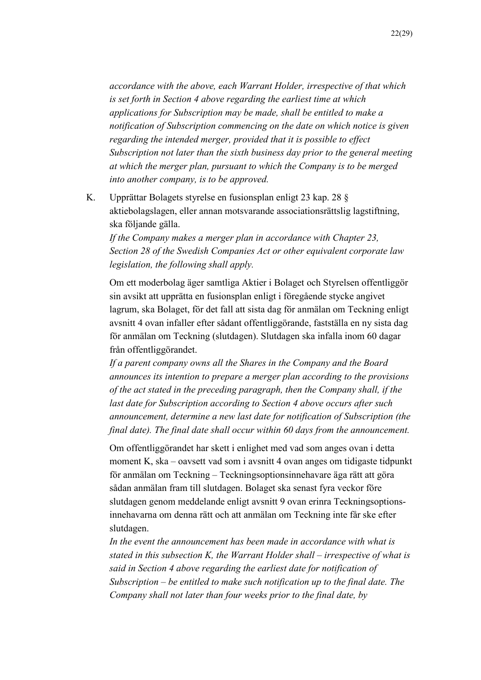*accordance with the above, each Warrant Holder, irrespective of that which is set forth in Section 4 above regarding the earliest time at which applications for Subscription may be made, shall be entitled to make a notification of Subscription commencing on the date on which notice is given regarding the intended merger, provided that it is possible to effect Subscription not later than the sixth business day prior to the general meeting at which the merger plan, pursuant to which the Company is to be merged into another company, is to be approved.*

K. Upprättar Bolagets styrelse en fusionsplan enligt 23 kap. 28 § aktiebolagslagen, eller annan motsvarande associationsrättslig lagstiftning, ska följande gälla.

*If the Company makes a merger plan in accordance with Chapter 23, Section 28 of the Swedish Companies Act or other equivalent corporate law legislation, the following shall apply.*

Om ett moderbolag äger samtliga Aktier i Bolaget och Styrelsen offentliggör sin avsikt att upprätta en fusionsplan enligt i föregående stycke angivet lagrum, ska Bolaget, för det fall att sista dag för anmälan om Teckning enligt avsnitt 4 ovan infaller efter sådant offentliggörande, fastställa en ny sista dag för anmälan om Teckning (slutdagen). Slutdagen ska infalla inom 60 dagar från offentliggörandet.

*If a parent company owns all the Shares in the Company and the Board announces its intention to prepare a merger plan according to the provisions of the act stated in the preceding paragraph, then the Company shall, if the last date for Subscription according to Section 4 above occurs after such announcement, determine a new last date for notification of Subscription (the final date). The final date shall occur within 60 days from the announcement.*

Om offentliggörandet har skett i enlighet med vad som anges ovan i detta moment K, ska – oavsett vad som i avsnitt 4 ovan anges om tidigaste tidpunkt för anmälan om Teckning – Teckningsoptionsinnehavare äga rätt att göra sådan anmälan fram till slutdagen. Bolaget ska senast fyra veckor före slutdagen genom meddelande enligt avsnitt 9 ovan erinra Teckningsoptionsinnehavarna om denna rätt och att anmälan om Teckning inte får ske efter slutdagen.

*In the event the announcement has been made in accordance with what is stated in this subsection K, the Warrant Holder shall – irrespective of what is said in Section 4 above regarding the earliest date for notification of Subscription – be entitled to make such notification up to the final date. The Company shall not later than four weeks prior to the final date, by*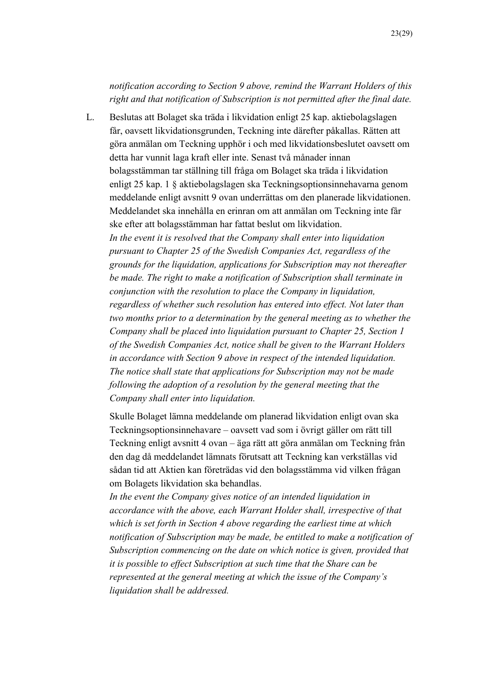## *notification according to Section 9 above, remind the Warrant Holders of this right and that notification of Subscription is not permitted after the final date.*

L. Beslutas att Bolaget ska träda i likvidation enligt 25 kap. aktiebolagslagen får, oavsett likvidationsgrunden, Teckning inte därefter påkallas. Rätten att göra anmälan om Teckning upphör i och med likvidationsbeslutet oavsett om detta har vunnit laga kraft eller inte. Senast två månader innan bolagsstämman tar ställning till fråga om Bolaget ska träda i likvidation enligt 25 kap. 1 § aktiebolagslagen ska Teckningsoptionsinnehavarna genom meddelande enligt avsnitt 9 ovan underrättas om den planerade likvidationen. Meddelandet ska innehålla en erinran om att anmälan om Teckning inte får ske efter att bolagsstämman har fattat beslut om likvidation. *In the event it is resolved that the Company shall enter into liquidation pursuant to Chapter 25 of the Swedish Companies Act, regardless of the grounds for the liquidation, applications for Subscription may not thereafter be made. The right to make a notification of Subscription shall terminate in conjunction with the resolution to place the Company in liquidation, regardless of whether such resolution has entered into effect. Not later than two months prior to a determination by the general meeting as to whether the Company shall be placed into liquidation pursuant to Chapter 25, Section 1 of the Swedish Companies Act, notice shall be given to the Warrant Holders in accordance with Section 9 above in respect of the intended liquidation. The notice shall state that applications for Subscription may not be made following the adoption of a resolution by the general meeting that the Company shall enter into liquidation.*

Skulle Bolaget lämna meddelande om planerad likvidation enligt ovan ska Teckningsoptionsinnehavare – oavsett vad som i övrigt gäller om rätt till Teckning enligt avsnitt 4 ovan – äga rätt att göra anmälan om Teckning från den dag då meddelandet lämnats förutsatt att Teckning kan verkställas vid sådan tid att Aktien kan företrädas vid den bolagsstämma vid vilken frågan om Bolagets likvidation ska behandlas.

*In the event the Company gives notice of an intended liquidation in accordance with the above, each Warrant Holder shall, irrespective of that which is set forth in Section 4 above regarding the earliest time at which notification of Subscription may be made, be entitled to make a notification of Subscription commencing on the date on which notice is given, provided that it is possible to effect Subscription at such time that the Share can be represented at the general meeting at which the issue of the Company's liquidation shall be addressed.*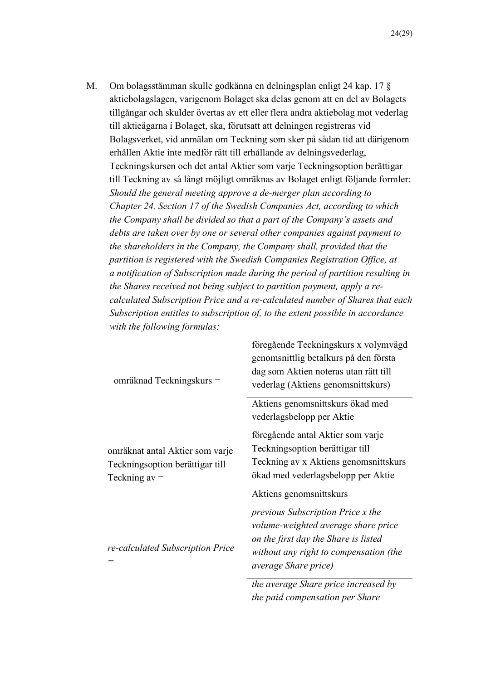M. Om bolagsstämman skulle godkänna en delningsplan enligt 24 kap. 17 § aktiebolagslagen, varigenom Bolaget ska delas genom att en del av Bolagets tillgångar och skulder övertas av ett eller flera andra aktiebolag mot vederlag till aktieägarna i Bolaget, ska, förutsatt att delningen registreras vid Bolagsverket, vid anmälan om Teckning som sker på sådan tid att därigenom erhållen Aktie inte medför rätt till erhållande av delningsvederlag, Teckningskursen och det antal Aktier som varje Teckningsoption berättigar till Teckning av så långt möjligt omräknas av Bolaget enligt följande formler: *Should the general meeting approve a de-merger plan according to Chapter 24, Section 17 of the Swedish Companies Act, according to which the Company shall be divided so that a part of the Company's assets and debts are taken over by one or several other companies against payment to the shareholders in the Company, the Company shall, provided that the partition is registered with the Swedish Companies Registration Office, at a notification of Subscription made during the period of partition resulting in the Shares received not being subject to partition payment, apply a recalculated Subscription Price and a re-calculated number of Shares that each Subscription entitles to subscription of, to the extent possible in accordance with the following formulas:*

| omräknad Teckningskurs =                                                              | föregående Teckningskurs x volymvägd<br>genomsnittlig betalkurs på den första<br>dag som Aktien noteras utan rätt till<br>vederlag (Aktiens genomsnittskurs)                                                                 |
|---------------------------------------------------------------------------------------|------------------------------------------------------------------------------------------------------------------------------------------------------------------------------------------------------------------------------|
|                                                                                       | Aktiens genomsnittskurs ökad med<br>vederlagsbelopp per Aktie                                                                                                                                                                |
| omräknat antal Aktier som varje<br>Teckningsoption berättigar till<br>Teckning $av =$ | föregående antal Aktier som varje<br>Teckningsoption berättigar till<br>Teckning av x Aktiens genomsnittskurs<br>ökad med vederlagsbelopp per Aktie                                                                          |
| re-calculated Subscription Price                                                      | Aktiens genomsnittskurs<br><i>previous Subscription Price x the</i><br>volume-weighted average share price<br>on the first day the Share is listed<br>without any right to compensation (the<br><i>average Share price</i> ) |
|                                                                                       | the average Share price increased by                                                                                                                                                                                         |

*the paid compensation per Share*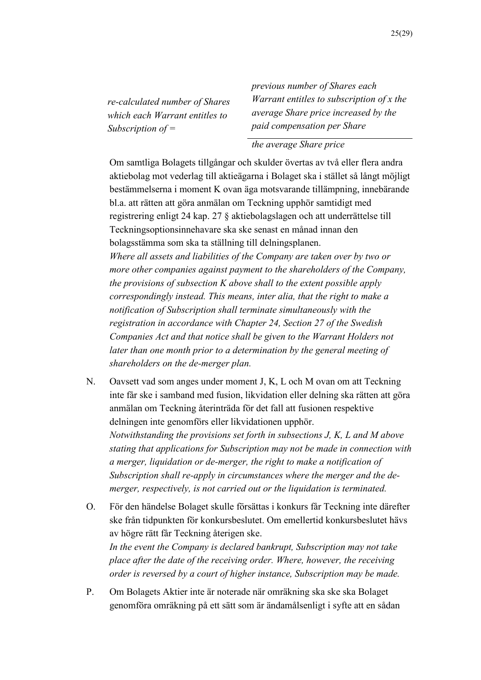*re-calculated number of Shares which each Warrant entitles to Subscription of =* 

*previous number of Shares each Warrant entitles to subscription of x the average Share price increased by the paid compensation per Share* 

#### *the average Share price*

Om samtliga Bolagets tillgångar och skulder övertas av två eller flera andra aktiebolag mot vederlag till aktieägarna i Bolaget ska i stället så långt möjligt bestämmelserna i moment K ovan äga motsvarande tillämpning, innebärande bl.a. att rätten att göra anmälan om Teckning upphör samtidigt med registrering enligt 24 kap. 27 § aktiebolagslagen och att underrättelse till Teckningsoptionsinnehavare ska ske senast en månad innan den bolagsstämma som ska ta ställning till delningsplanen. *Where all assets and liabilities of the Company are taken over by two or more other companies against payment to the shareholders of the Company, the provisions of subsection K above shall to the extent possible apply correspondingly instead. This means, inter alia, that the right to make a notification of Subscription shall terminate simultaneously with the registration in accordance with Chapter 24, Section 27 of the Swedish Companies Act and that notice shall be given to the Warrant Holders not later than one month prior to a determination by the general meeting of shareholders on the de-merger plan.*

- N. Oavsett vad som anges under moment J, K, L och M ovan om att Teckning inte får ske i samband med fusion, likvidation eller delning ska rätten att göra anmälan om Teckning återinträda för det fall att fusionen respektive delningen inte genomförs eller likvidationen upphör. *Notwithstanding the provisions set forth in subsections J, K, L and M above stating that applications for Subscription may not be made in connection with a merger, liquidation or de-merger, the right to make a notification of Subscription shall re-apply in circumstances where the merger and the demerger, respectively, is not carried out or the liquidation is terminated.*
- O. För den händelse Bolaget skulle försättas i konkurs får Teckning inte därefter ske från tidpunkten för konkursbeslutet. Om emellertid konkursbeslutet hävs av högre rätt får Teckning återigen ske. *In the event the Company is declared bankrupt, Subscription may not take place after the date of the receiving order. Where, however, the receiving order is reversed by a court of higher instance, Subscription may be made.*
- P. Om Bolagets Aktier inte är noterade när omräkning ska ske ska Bolaget genomföra omräkning på ett sätt som är ändamålsenligt i syfte att en sådan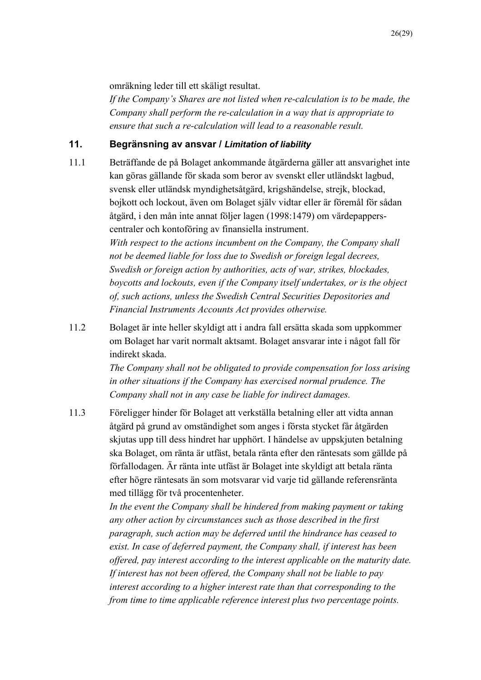omräkning leder till ett skäligt resultat.

*If the Company's Shares are not listed when re-calculation is to be made, the Company shall perform the re-calculation in a way that is appropriate to ensure that such a re-calculation will lead to a reasonable result.*

## **11. Begränsning av ansvar /** *Limitation of liability*

11.1 Beträffande de på Bolaget ankommande åtgärderna gäller att ansvarighet inte kan göras gällande för skada som beror av svenskt eller utländskt lagbud, svensk eller utländsk myndighetsåtgärd, krigshändelse, strejk, blockad, bojkott och lockout, även om Bolaget själv vidtar eller är föremål för sådan åtgärd, i den mån inte annat följer lagen (1998:1479) om värdepapperscentraler och kontoföring av finansiella instrument.

*With respect to the actions incumbent on the Company, the Company shall not be deemed liable for loss due to Swedish or foreign legal decrees, Swedish or foreign action by authorities, acts of war, strikes, blockades, boycotts and lockouts, even if the Company itself undertakes, or is the object of, such actions, unless the Swedish Central Securities Depositories and Financial Instruments Accounts Act provides otherwise.*

11.2 Bolaget är inte heller skyldigt att i andra fall ersätta skada som uppkommer om Bolaget har varit normalt aktsamt. Bolaget ansvarar inte i något fall för indirekt skada.

> *The Company shall not be obligated to provide compensation for loss arising in other situations if the Company has exercised normal prudence. The Company shall not in any case be liable for indirect damages.*

11.3 Föreligger hinder för Bolaget att verkställa betalning eller att vidta annan åtgärd på grund av omständighet som anges i första stycket får åtgärden skjutas upp till dess hindret har upphört. I händelse av uppskjuten betalning ska Bolaget, om ränta är utfäst, betala ränta efter den räntesats som gällde på förfallodagen. Är ränta inte utfäst är Bolaget inte skyldigt att betala ränta efter högre räntesats än som motsvarar vid varje tid gällande referensränta med tillägg för två procentenheter.

> *In the event the Company shall be hindered from making payment or taking any other action by circumstances such as those described in the first paragraph, such action may be deferred until the hindrance has ceased to exist. In case of deferred payment, the Company shall, if interest has been offered, pay interest according to the interest applicable on the maturity date. If interest has not been offered, the Company shall not be liable to pay interest according to a higher interest rate than that corresponding to the from time to time applicable reference interest plus two percentage points.*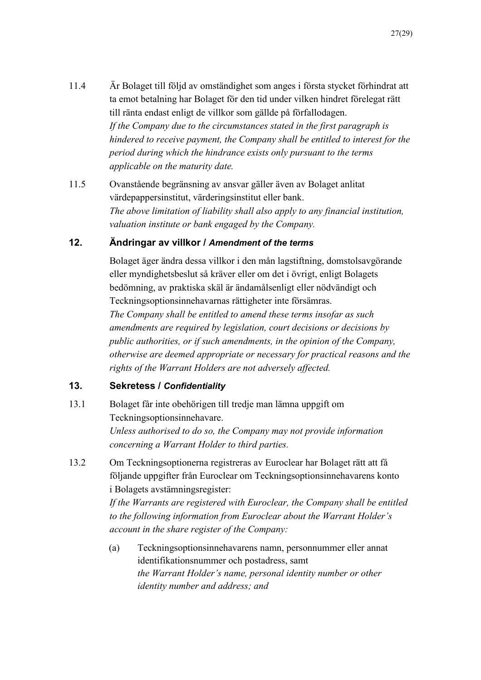- 11.4 Är Bolaget till följd av omständighet som anges i första stycket förhindrat att ta emot betalning har Bolaget för den tid under vilken hindret förelegat rätt till ränta endast enligt de villkor som gällde på förfallodagen. *If the Company due to the circumstances stated in the first paragraph is hindered to receive payment, the Company shall be entitled to interest for the period during which the hindrance exists only pursuant to the terms applicable on the maturity date.*
- 11.5 Ovanstående begränsning av ansvar gäller även av Bolaget anlitat värdepappersinstitut, värderingsinstitut eller bank. *The above limitation of liability shall also apply to any financial institution, valuation institute or bank engaged by the Company.*

## **12. Ändringar av villkor /** *Amendment of the terms*

Bolaget äger ändra dessa villkor i den mån lagstiftning, domstolsavgörande eller myndighetsbeslut så kräver eller om det i övrigt, enligt Bolagets bedömning, av praktiska skäl är ändamålsenligt eller nödvändigt och Teckningsoptionsinnehavarnas rättigheter inte försämras.

*The Company shall be entitled to amend these terms insofar as such amendments are required by legislation, court decisions or decisions by public authorities, or if such amendments, in the opinion of the Company, otherwise are deemed appropriate or necessary for practical reasons and the rights of the Warrant Holders are not adversely affected.* 

#### **13. Sekretess /** *Confidentiality*

- 13.1 Bolaget får inte obehörigen till tredje man lämna uppgift om Teckningsoptionsinnehavare. *Unless authorised to do so, the Company may not provide information concerning a Warrant Holder to third parties.*
- 13.2 Om Teckningsoptionerna registreras av Euroclear har Bolaget rätt att få följande uppgifter från Euroclear om Teckningsoptionsinnehavarens konto i Bolagets avstämningsregister:

*If the Warrants are registered with Euroclear, the Company shall be entitled to the following information from Euroclear about the Warrant Holder's account in the share register of the Company:*

(a) Teckningsoptionsinnehavarens namn, personnummer eller annat identifikationsnummer och postadress, samt *the Warrant Holder's name, personal identity number or other identity number and address; and*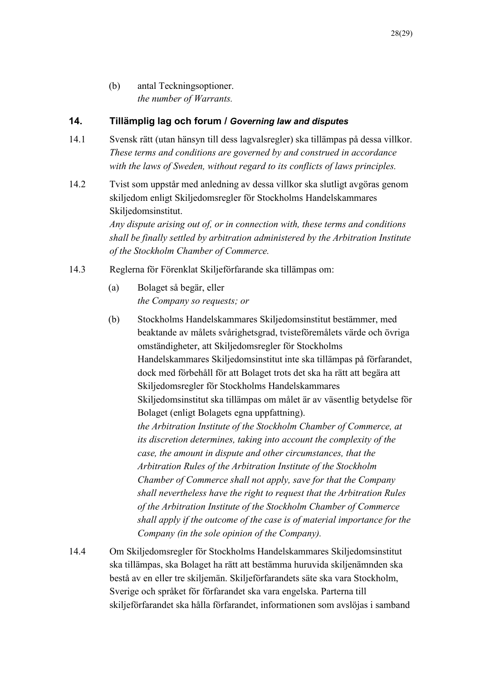(b) antal Teckningsoptioner. *the number of Warrants.*

## **14. Tillämplig lag och forum /** *Governing law and disputes*

- 14.1 Svensk rätt (utan hänsyn till dess lagvalsregler) ska tillämpas på dessa villkor. *These terms and conditions are governed by and construed in accordance with the laws of Sweden, without regard to its conflicts of laws principles.*
- 14.2 Tvist som uppstår med anledning av dessa villkor ska slutligt avgöras genom skiljedom enligt Skiljedomsregler för Stockholms Handelskammares Skiljedomsinstitut.

*Any dispute arising out of, or in connection with, these terms and conditions shall be finally settled by arbitration administered by the Arbitration Institute of the Stockholm Chamber of Commerce.*

- 14.3 Reglerna för Förenklat Skiljeförfarande ska tillämpas om:
	- (a) Bolaget så begär, eller *the Company so requests; or*
	- (b) Stockholms Handelskammares Skiljedomsinstitut bestämmer, med beaktande av målets svårighetsgrad, tvisteföremålets värde och övriga omständigheter, att Skiljedomsregler för Stockholms Handelskammares Skiljedomsinstitut inte ska tillämpas på förfarandet, dock med förbehåll för att Bolaget trots det ska ha rätt att begära att Skiljedomsregler för Stockholms Handelskammares Skiljedomsinstitut ska tillämpas om målet är av väsentlig betydelse för Bolaget (enligt Bolagets egna uppfattning). *the Arbitration Institute of the Stockholm Chamber of Commerce, at its discretion determines, taking into account the complexity of the case, the amount in dispute and other circumstances, that the Arbitration Rules of the Arbitration Institute of the Stockholm Chamber of Commerce shall not apply, save for that the Company shall nevertheless have the right to request that the Arbitration Rules of the Arbitration Institute of the Stockholm Chamber of Commerce shall apply if the outcome of the case is of material importance for the Company (in the sole opinion of the Company).*
- 14.4 Om Skiljedomsregler för Stockholms Handelskammares Skiljedomsinstitut ska tillämpas, ska Bolaget ha rätt att bestämma huruvida skiljenämnden ska bestå av en eller tre skiljemän. Skiljeförfarandets säte ska vara Stockholm, Sverige och språket för förfarandet ska vara engelska. Parterna till skiljeförfarandet ska hålla förfarandet, informationen som avslöjas i samband